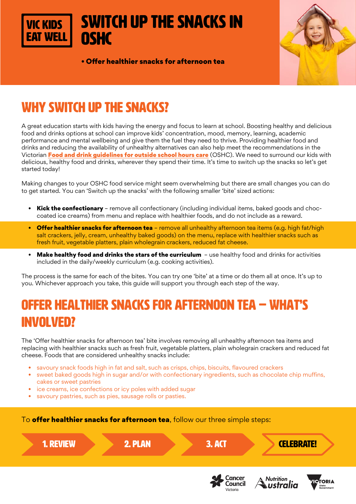# Switch up the snacks in **OSHC**

• Offer healthier snacks for afternoon tea



## WHY SWITCH UP THE SNACKS?

A great education starts with kids having the energy and focus to learn at school. Boosting healthy and delicious food and drinks options at school can improve kids' concentration, mood, memory, learning, academic performance and mental wellbeing and give them the fuel they need to thrive. Providing healthier food and drinks and reducing the availability of unhealthy alternatives can also help meet the recommendations in the Victorian Food and drink quidelines for outside school hours care (OSHC). We need to surround our kids with delicious, healthy food and drinks, wherever they spend their time. It's time to switch up the snacks so let's get started today!

Making changes to your OSHC food service might seem overwhelming but there are small changes you can do to get started. You can 'Switch up the snacks' with the following smaller 'bite' sized actions:

- **Kick the confectionary** remove all confectionary (including individual items, baked goods and choccoated ice creams) from menu and replace with healthier foods, and do not include as a reward.
- Offer healthier snacks for afternoon tea remove all unhealthy afternoon tea items (e.g. high fat/high salt crackers, jelly, cream, unhealthy baked goods) on the menu, replace with healthier snacks such as fresh fruit, vegetable platters, plain wholegrain crackers, reduced fat cheese.
- Make healthy food and drinks the stars of the curriculum use healthy food and drinks for activities included in the daily/weekly curriculum (e.g. cooking activities).

The process is the same for each of the bites. You can try one 'bite' at a time or do them all at once. It's up to you. Whichever approach you take, this guide will support you through each step of the way.

## OFFER HEALTHIER SNACKS FOR AFTERNOON TEA – WHAT'S INVOLVED?

The 'Offer healthier snacks for afternoon tea' bite involves removing all unhealthy afternoon tea items and replacing with healthier snacks such as fresh fruit, vegetable platters, plain wholegrain crackers and reduced fat cheese. Foods that are considered unhealthy snacks include:

- savoury snack foods high in fat and salt, such as crisps, chips, biscuits, flavoured crackers
- sweet baked goods high in sugar and/or with confectionary ingredients, such as chocolate chip muffins, cakes or sweet pastries
- ice creams, ice confections or icy poles with added sugar
- savoury pastries, such as pies, sausage rolls or pasties.

To **offer healthier snacks for afternoon tea**, follow our three simple steps:

1. REVIEW 2. PLAN 3. ACT CELEBRATE! **Cancer Nutrition TORIA** Council ıstralia

Victoria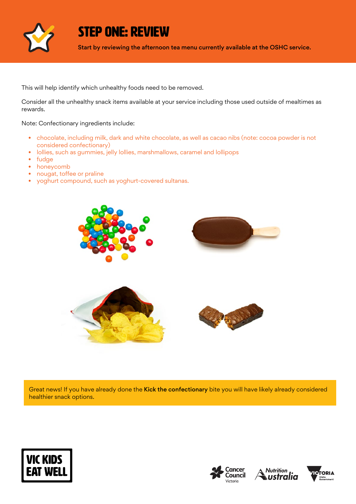

STEP ONE: REVIEW

Start by reviewing the afternoon tea menu currently available at the OSHC service.

This will help identify which unhealthy foods need to be removed.

Consider all the unhealthy snack items available at your service including those used outside of mealtimes as rewards.

Note: Confectionary ingredients include:

- chocolate, including milk, dark and white chocolate, as well as cacao nibs (note: cocoa powder is not considered confectionary)
- lollies, such as gummies, jelly lollies, marshmallows, caramel and lollipops
- fudge
- honeycomb
- nougat, toffee or praline
- yoghurt compound, such as yoghurt-covered sultanas.



Great news! If you have already done the Kick the confectionary bite you will have likely already considered healthier snack options.







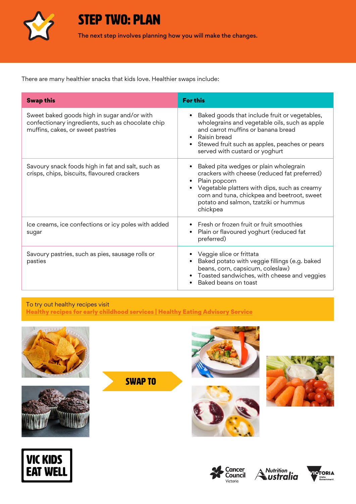

STEP TWO: PLAN

The next step involves planning how you will make the changes.

There are many healthier snacks that kids love. Healthier swaps include:

| <b>Swap this</b>                                                                                                                      | <b>For this</b>                                                                                                                                                                                                                                                                      |
|---------------------------------------------------------------------------------------------------------------------------------------|--------------------------------------------------------------------------------------------------------------------------------------------------------------------------------------------------------------------------------------------------------------------------------------|
| Sweet baked goods high in sugar and/or with<br>confectionary ingredients, such as chocolate chip<br>muffins, cakes, or sweet pastries | Baked goods that include fruit or vegetables,<br>$\bullet$<br>wholegrains and vegetable oils, such as apple<br>and carrot muffins or banana bread<br>Raisin bread<br>$\bullet$<br>Stewed fruit such as apples, peaches or pears<br>$\bullet$<br>served with custard or yoghurt       |
| Savoury snack foods high in fat and salt, such as<br>crisps, chips, biscuits, flavoured crackers                                      | Baked pita wedges or plain wholegrain<br>crackers with cheese (reduced fat preferred)<br>Plain popcorn<br>$\bullet$<br>Vegetable platters with dips, such as creamy<br>$\bullet$<br>corn and tuna, chickpea and beetroot, sweet<br>potato and salmon, tzatziki or hummus<br>chickpea |
| Ice creams, ice confections or icy poles with added<br>sugar                                                                          | Fresh or frozen fruit or fruit smoothies<br>Plain or flavoured yoghurt (reduced fat<br>٠<br>preferred)                                                                                                                                                                               |
| Savoury pastries, such as pies, sausage rolls or<br>pasties                                                                           | Veggie slice or frittata<br>Baked potato with veggie fillings (e.g. baked<br>beans, corn, capsicum, coleslaw)<br>Toasted sandwiches, with cheese and veggies<br>Baked beans on toast                                                                                                 |

To try out healthy recipes visit [Healthy recipes for early childhood services | Healthy Eating Advisory Service](http://heas.health.vic.gov.au/early-childhood-services/recipes)









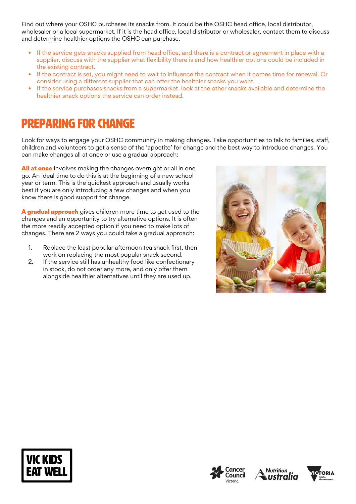Find out where your OSHC purchases its snacks from. It could be the OSHC head office, local distributor, wholesaler or a local supermarket. If it is the head office, local distributor or wholesaler, contact them to discuss and determine healthier options the OSHC can purchase.

- If the service gets snacks supplied from head office, and there is a contract or agreement in place with a supplier, discuss with the supplier what flexibility there is and how healthier options could be included in the existing contract.
- If the contract is set, you might need to wait to influence the contract when it comes time for renewal. Or consider using a different supplier that can offer the healthier snacks you want.
- If the service purchases snacks from a supermarket, look at the other snacks available and determine the healthier snack options the service can order instead.

### Preparing for change

Look for ways to engage your OSHC community in making changes. Take opportunities to talk to families, staff, children and volunteers to get a sense of the 'appetite' for change and the best way to introduce changes. You can make changes all at once or use a gradual approach:

All at once involves making the changes overnight or all in one go. An ideal time to do this is at the beginning of a new school year or term. This is the quickest approach and usually works best if you are only introducing a few changes and when you know there is good support for change.

A gradual approach gives children more time to get used to the changes and an opportunity to try alternative options. It is often the more readily accepted option if you need to make lots of changes. There are 2 ways you could take a gradual approach:

- 1. Replace the least popular afternoon tea snack first, then work on replacing the most popular snack second.
- 2. If the service still has unhealthy food like confectionary in stock, do not order any more, and only offer them alongside healthier alternatives until they are used up.









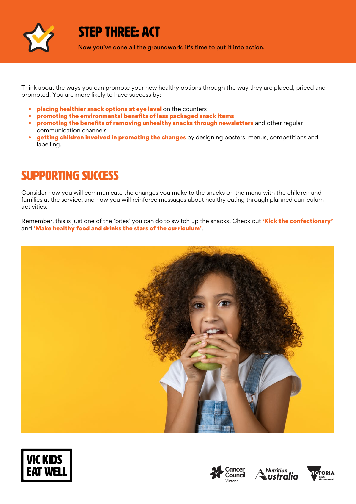

### STEP THREE: ACT

Now you've done all the groundwork, it's time to put it into action.

Think about the ways you can promote your new healthy options through the way they are placed, priced and promoted. You are more likely to have success by:

- placing healthier snack options at eye level on the counters
- promoting the environmental benefits of less packaged snack items
- promoting the benefits of removing unhealthy snacks through newsletters and other regular communication channels
- getting children involved in promoting the changes by designing posters, menus, competitions and labelling.

## SUPPORTING SUCCESS

Consider how you will communicate the changes you make to the snacks on the menu with the children and families at the service, and how you will reinforce messages about healthy eating through planned curriculum activities.

Remember, this is just one of the 'bites' you can do to switch up the snacks. Check out **['Kick the confectionary'](https://www.vickidseatwell.health.vic.gov.au/resources)** and '[Make healthy food and drinks the stars of the curriculum](https://www.vickidseatwell.health.vic.gov.au/resources)'.